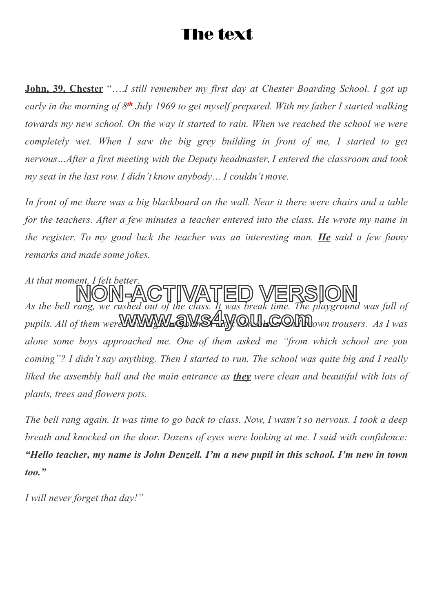# The text

**John, 39, Chester** "….*I still remember my first day at Chester Boarding School. I got up* early in the morning of 8<sup>th</sup> July 1969 to get myself prepared. With my father I started walking *towards my new school. On the way it started to rain. When we reached the school we were completely wet. When I saw the big grey building in front of me, I started to get nervous…After a first meeting with the Deputy headmaster, I entered the classroom and took my seat in the last row. I didn't know anybody… I couldn't move.*

In front of me there was a big blackboard on the wall. Near it there were chairs and a table *for the teachers. After a few minutes a teacher entered into the class. He wrote my name in the register. To my good luck the teacher was an interesting man. He said a few funny remarks and made some jokes.*

*At that moment, I felt better. As the bell rang, we rushed out of the class. It was break time. The playground was full of* pupils. All of them were WAY WAY AND STRATURE ON THE purpose of the was full by *alone some boys approached me. One of them asked me "from which school are you coming"? I didn't say anything. Then I started to run. The school was quite big and I really liked the assembly hall and the main entrance as they were clean and beautiful with lots of plants, trees and flowers pots.* **NON-ACTIVATED VERSION**

The bell rang again. It was time to go back to class. Now, I wasn't so nervous. I took a deep *breath and knocked on the door. Dozens of eyes were looking at me. I said with confidence: "Hello teacher, my name is John Denzell. I'm a new pupil in this school. I'm new in town too."*

*I will never forget that day!"*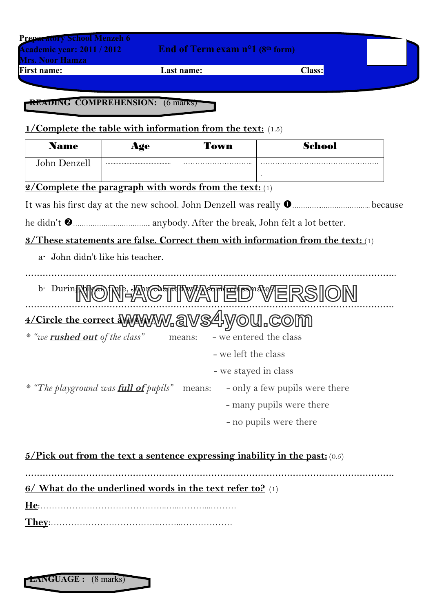| <b>Mrs. Noor Hamza</b>                | <b>Academic year: 2011 / 2012</b>                                 | End of Term exam $n^{\circ}1$ (8 <sup>th</sup> form) |                                                                                       |
|---------------------------------------|-------------------------------------------------------------------|------------------------------------------------------|---------------------------------------------------------------------------------------|
| <b>First name:</b>                    |                                                                   | Last name:                                           | <b>Class:</b>                                                                         |
|                                       |                                                                   |                                                      |                                                                                       |
|                                       | <b>READING COMPREHENSION:</b> (6 marks)                           |                                                      |                                                                                       |
|                                       | <b>1/Complete the table with information from the text:</b> (1.5) |                                                      |                                                                                       |
| <b>Name</b>                           | Age                                                               | Town                                                 | <b>School</b>                                                                         |
| John Denzell                          |                                                                   |                                                      |                                                                                       |
|                                       | 2/Complete the paragraph with words from the text: (1)            |                                                      |                                                                                       |
|                                       |                                                                   |                                                      |                                                                                       |
|                                       |                                                                   |                                                      |                                                                                       |
|                                       |                                                                   |                                                      | <b>3/These statements are false. Correct them with information from the text:</b> (1) |
|                                       | a John didn't like his teacher.                                   |                                                      |                                                                                       |
|                                       |                                                                   |                                                      |                                                                                       |
|                                       |                                                                   |                                                      | <b>b.</b> Durin <b>NON: ACTIVATED VERSION</b>                                         |
|                                       | 4/Circle the correct WWWWW.aVS4yOU.COM                            |                                                      |                                                                                       |
| * "we <b>rushed out</b> of the class" |                                                                   | means:                                               | - we entered the class                                                                |
|                                       |                                                                   | - we left the class                                  |                                                                                       |
|                                       |                                                                   | - we stayed in class                                 |                                                                                       |
|                                       | * "The playground was <b>full of</b> pupils"                      | means:                                               | - only a few pupils were there                                                        |
|                                       |                                                                   |                                                      | - many pupils were there                                                              |
|                                       |                                                                   |                                                      | - no pupils were there                                                                |
|                                       |                                                                   |                                                      |                                                                                       |
|                                       |                                                                   |                                                      |                                                                                       |
|                                       |                                                                   |                                                      | $5/Pick$ out from the text a sentence expressing inability in the past: $(0.5)$       |
|                                       |                                                                   |                                                      |                                                                                       |
|                                       | 6/ What do the underlined words in the text refer to? (1)         |                                                      |                                                                                       |

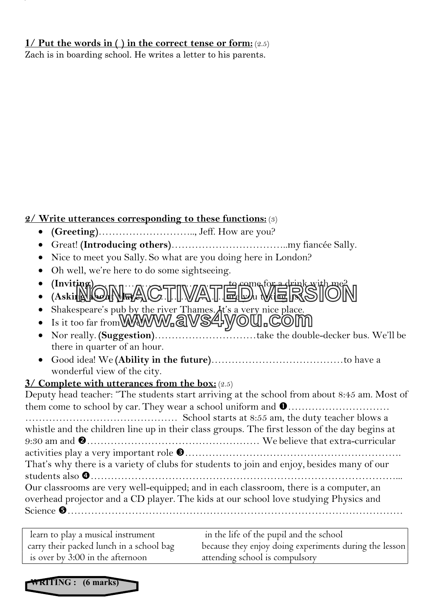#### **1/ Put the words in ( ) in the correct tense or form:** (2.5)

Zach is in boarding school. He writes a letter to his parents.

### **2/ Write utterances corresponding to these functions:** (3)

- **(Greeting)**……………………….., Jeff. How are you?
- Great! **(Introducing others)**……………………………..my fiancée Sally.
- Nice to meet you Sally. So what are you doing here in London?
- Oh well, we're here to do some sightseeing.
- **(Inviting)**………………………………….to come for a drink with me? **(Asking about place)**…………………….are you taking us? **NON-ACTIVATED VERSION**
- Shakespeare's pub by the river Thames. It's a very nice place.
- Shakespeare's pub by the river 1 hames. At s a very nice place.<br>• Is it too far from **WWWW.a**WS4yOU.COM
- Nor really. **(Suggestion)**…………………………take the double-decker bus. We'll be there in quarter of an hour.
- Good idea! We **(Ability in the future)**…………………………………to have a wonderful view of the city.

## **3/ Complete with utterances from the box:** (2.5)

Deputy head teacher: "The students start arriving at the school from about 8:45 am. Most of them come to school by car. They wear a school uniform and ………………………… ……………………………………… School starts at 8:55 am, the duty teacher blows a whistle and the children line up in their class groups. The first lesson of the day begins at 9:30 am and …………………………………………… We believe that extra-curricular activities play a very important role ………………………………………………………. That's why there is a variety of clubs for students to join and enjoy, besides many of our students also ………………………………………………………………………………... Our classrooms are very well-equipped; and in each classroom, there is a computer, an overhead projector and a CD player. The kids at our school love studying Physics and Science ………………………………………………………………………………………

learn to play a musical instrument in the life of the pupil and the school carry their packed lunch in a school bag because they enjoy doing experiments during the lesson is over by 3:00 in the afternoon attending school is compulsory

**WRITING : (6 marks)**